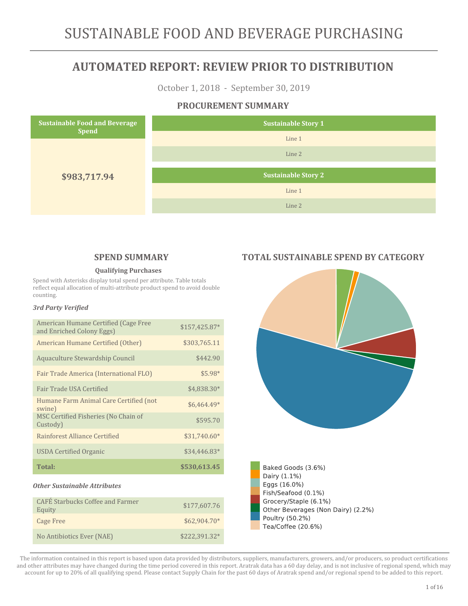October 1, 2018 - September 30, 2019

### **PROCUREMENT SUMMARY**



### **SPEND SUMMARY**

#### **Qualifying Purchases**

Spend with Asterisks display total spend per attribute. Table totals reflect equal allocation of multi-attribute product spend to avoid double counting.

#### *3rd Party Verified*

| American Humane Certified (Cage Free<br>and Enriched Colony Eggs) | \$157,425.87* |
|-------------------------------------------------------------------|---------------|
| American Humane Certified (Other)                                 | \$303,765.11  |
| Aquaculture Stewardship Council                                   | \$442.90      |
| Fair Trade America (International FLO)                            | \$5.98*       |
| <b>Fair Trade USA Certified</b>                                   | \$4,838.30*   |
| Humane Farm Animal Care Certified (not<br>swine)                  | $$6,464.49*$  |
| MSC Certified Fisheries (No Chain of<br>Custody)                  | \$595.70      |
| Rainforest Alliance Certified                                     | \$31,740.60*  |
| <b>USDA Certified Organic</b>                                     | \$34,446.83*  |
| <b>Total:</b>                                                     | \$530,613.45  |
| <b>Other Sustainable Attributes</b>                               |               |
| <b>CAFÉ Starbucks Coffee and Farmer</b><br>Equity                 | \$177,607.76  |
| <b>Cage Free</b>                                                  | \$62,904.70*  |
| No Antibiotics Ever (NAE)                                         | \$222,391.32* |

### **TOTAL SUSTAINABLE SPEND BY CATEGORY**



Other Beverages (Non Dairy) (2.2%) Poultry (50.2%)

Tea/Coffee (20.6%)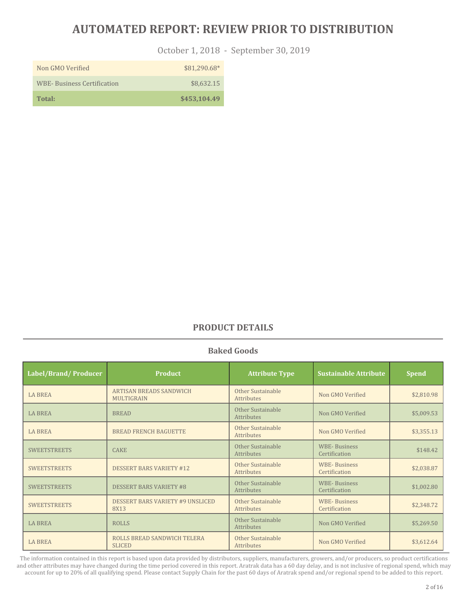October 1, 2018 - September 30, 2019

| Non GMO Verified                  | $$81.290.68*$ |
|-----------------------------------|---------------|
| <b>WBE-Business Certification</b> | \$8,632.15    |
| Total:                            | \$453,104.49  |

### **PRODUCT DETAILS**

#### **Baked Goods**

| Label/Brand/Producer | <b>Product</b>                                      | <b>Attribute Type</b>                  | <b>Sustainable Attribute</b>         | <b>Spend</b> |
|----------------------|-----------------------------------------------------|----------------------------------------|--------------------------------------|--------------|
| <b>LA BREA</b>       | <b>ARTISAN BREADS SANDWICH</b><br><b>MULTIGRAIN</b> | Other Sustainable<br>Attributes        | Non GMO Verified                     | \$2,810.98   |
| <b>LA BREA</b>       | <b>BREAD</b>                                        | Other Sustainable<br><b>Attributes</b> | Non GMO Verified                     | \$5,009.53   |
| <b>LA BREA</b>       | <b>BREAD FRENCH BAGUETTE</b>                        | Other Sustainable<br>Attributes        | Non GMO Verified                     | \$3,355.13   |
| <b>SWEETSTREETS</b>  | <b>CAKE</b>                                         | Other Sustainable<br>Attributes        | <b>WBE-Business</b><br>Certification | \$148.42     |
| <b>SWEETSTREETS</b>  | <b>DESSERT BARS VARIETY #12</b>                     | Other Sustainable<br>Attributes        | <b>WBE-Business</b><br>Certification | \$2,038.87   |
| <b>SWEETSTREETS</b>  | <b>DESSERT BARS VARIETY #8</b>                      | Other Sustainable<br>Attributes        | <b>WBE-Business</b><br>Certification | \$1,002.80   |
| <b>SWEETSTREETS</b>  | <b>DESSERT BARS VARIETY #9 UNSLICED</b><br>8X13     | Other Sustainable<br>Attributes        | <b>WBE-Business</b><br>Certification | \$2,348.72   |
| <b>LA BREA</b>       | <b>ROLLS</b>                                        | Other Sustainable<br>Attributes        | Non GMO Verified                     | \$5,269.50   |
| <b>LA BREA</b>       | ROLLS BREAD SANDWICH TELERA<br><b>SLICED</b>        | Other Sustainable<br>Attributes        | Non GMO Verified                     | \$3,612.64   |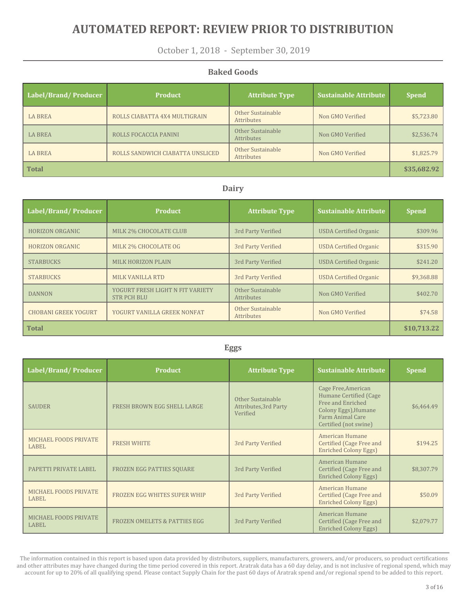October 1, 2018 - September 30, 2019

#### **Baked Goods**

| Label/Brand/Producer | <b>Product</b>                   | <b>Attribute Type</b>                  | <b>Sustainable Attribute</b> | <b>Spend</b> |
|----------------------|----------------------------------|----------------------------------------|------------------------------|--------------|
| <b>LA BREA</b>       | ROLLS CIABATTA 4X4 MULTIGRAIN    | Other Sustainable<br>Attributes        | Non GMO Verified             | \$5,723.80   |
| <b>LA BREA</b>       | ROLLS FOCACCIA PANINI            | Other Sustainable<br>Attributes        | Non GMO Verified             | \$2,536.74   |
| <b>LA BREA</b>       | ROLLS SANDWICH CIABATTA UNSLICED | Other Sustainable<br><b>Attributes</b> | Non GMO Verified             | \$1,825.79   |
| <b>Total</b>         |                                  |                                        |                              | \$35,682.92  |

#### **Dairy**

| Label/Brand/Producer        | <b>Product</b>                                         | <b>Attribute Type</b>           | <b>Sustainable Attribute</b>  | <b>Spend</b> |
|-----------------------------|--------------------------------------------------------|---------------------------------|-------------------------------|--------------|
| <b>HORIZON ORGANIC</b>      | MILK 2% CHOCOLATE CLUB                                 | 3rd Party Verified              | <b>USDA Certified Organic</b> | \$309.96     |
| <b>HORIZON ORGANIC</b>      | MILK 2% CHOCOLATE OG                                   | 3rd Party Verified              | <b>USDA Certified Organic</b> | \$315.90     |
| <b>STARBUCKS</b>            | <b>MILK HORIZON PLAIN</b>                              | 3rd Party Verified              | <b>USDA Certified Organic</b> | \$241.20     |
| <b>STARBUCKS</b>            | MILK VANILLA RTD                                       | 3rd Party Verified              | <b>USDA Certified Organic</b> | \$9,368.88   |
| <b>DANNON</b>               | YOGURT FRESH LIGHT N FIT VARIETY<br><b>STR PCH BLU</b> | Other Sustainable<br>Attributes | Non GMO Verified              | \$402.70     |
| <b>CHOBANI GREEK YOGURT</b> | YOGURT VANILLA GREEK NONFAT                            | Other Sustainable<br>Attributes | Non GMO Verified              | \$74.58      |
| <b>Total</b>                |                                                        |                                 |                               | \$10,713.22  |

#### **Eggs**

| Label/Brand/Producer                  | <b>Product</b>                          | <b>Attribute Type</b>                                  | <b>Sustainable Attribute</b>                                                                                                            | <b>Spend</b> |
|---------------------------------------|-----------------------------------------|--------------------------------------------------------|-----------------------------------------------------------------------------------------------------------------------------------------|--------------|
| <b>SAUDER</b>                         | FRESH BROWN EGG SHELL LARGE             | Other Sustainable<br>Attributes, 3rd Party<br>Verified | Cage Free, American<br>Humane Certified (Cage<br>Free and Enriched<br>Colony Eggs), Humane<br>Farm Animal Care<br>Certified (not swine) | \$6,464.49   |
| MICHAEL FOODS PRIVATE<br>LABEL        | <b>FRESH WHITE</b>                      | 3rd Party Verified                                     | American Humane<br>Certified (Cage Free and<br><b>Enriched Colony Eggs)</b>                                                             | \$194.25     |
| PAPETTI PRIVATE LABEL                 | <b>FROZEN EGG PATTIES SOUARE</b>        | 3rd Party Verified                                     | American Humane<br>Certified (Cage Free and<br><b>Enriched Colony Eggs)</b>                                                             | \$8,307.79   |
| MICHAEL FOODS PRIVATE<br><b>LABEL</b> | FROZEN EGG WHITES SUPER WHIP            | 3rd Party Verified                                     | American Humane<br>Certified (Cage Free and<br><b>Enriched Colony Eggs)</b>                                                             | \$50.09      |
| MICHAEL FOODS PRIVATE<br><b>LABEL</b> | <b>FROZEN OMELETS &amp; PATTIES EGG</b> | 3rd Party Verified                                     | American Humane<br>Certified (Cage Free and<br><b>Enriched Colony Eggs)</b>                                                             | \$2,079.77   |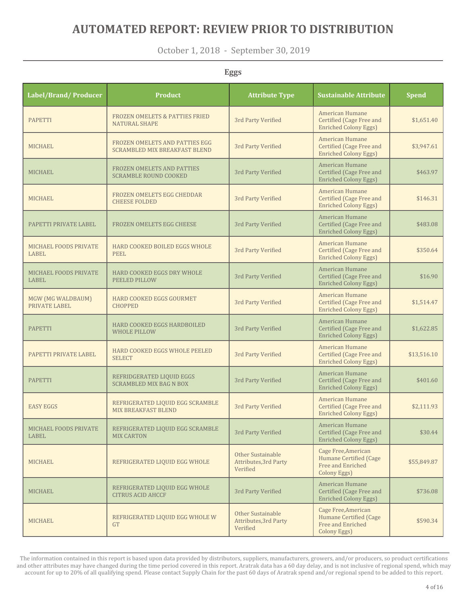October 1, 2018 - September 30, 2019

**Eggs**

| Label/Brand/ Producer                 | <b>Product</b>                                                         | <b>Attribute Type</b>                                         | <b>Sustainable Attribute</b>                                                       | <b>Spend</b> |
|---------------------------------------|------------------------------------------------------------------------|---------------------------------------------------------------|------------------------------------------------------------------------------------|--------------|
| <b>PAPETTI</b>                        | <b>FROZEN OMELETS &amp; PATTIES FRIED</b><br><b>NATURAL SHAPE</b>      | 3rd Party Verified                                            | American Humane<br>Certified (Cage Free and<br><b>Enriched Colony Eggs)</b>        | \$1,651.40   |
| <b>MICHAEL</b>                        | FROZEN OMELETS AND PATTIES EGG<br><b>SCRAMBLED MIX BREAKFAST BLEND</b> | 3rd Party Verified                                            | <b>American Humane</b><br>Certified (Cage Free and<br><b>Enriched Colony Eggs)</b> | \$3,947.61   |
| <b>MICHAEL</b>                        | <b>FROZEN OMELETS AND PATTIES</b><br><b>SCRAMBLE ROUND COOKED</b>      | 3rd Party Verified                                            | American Humane<br>Certified (Cage Free and<br><b>Enriched Colony Eggs)</b>        | \$463.97     |
| <b>MICHAEL</b>                        | FROZEN OMELETS EGG CHEDDAR<br><b>CHEESE FOLDED</b>                     | 3rd Party Verified                                            | American Humane<br>Certified (Cage Free and<br><b>Enriched Colony Eggs)</b>        | \$146.31     |
| PAPETTI PRIVATE LABEL                 | FROZEN OMELETS EGG CHEESE                                              | 3rd Party Verified                                            | American Humane<br>Certified (Cage Free and<br><b>Enriched Colony Eggs)</b>        | \$483.08     |
| <b>MICHAEL FOODS PRIVATE</b><br>LABEL | <b>HARD COOKED BOILED EGGS WHOLE</b><br>PEEL                           | 3rd Party Verified                                            | American Humane<br>Certified (Cage Free and<br><b>Enriched Colony Eggs)</b>        | \$350.64     |
| <b>MICHAEL FOODS PRIVATE</b><br>LABEL | HARD COOKED EGGS DRY WHOLE<br>PEELED PILLOW                            | 3rd Party Verified                                            | American Humane<br>Certified (Cage Free and<br><b>Enriched Colony Eggs)</b>        | \$16.90      |
| MGW (MG WALDBAUM)<br>PRIVATE LABEL    | HARD COOKED EGGS GOURMET<br><b>CHOPPED</b>                             | 3rd Party Verified                                            | American Humane<br>Certified (Cage Free and<br><b>Enriched Colony Eggs)</b>        | \$1,514.47   |
| <b>PAPETTI</b>                        | HARD COOKED EGGS HARDBOILED<br><b>WHOLE PILLOW</b>                     | 3rd Party Verified                                            | American Humane<br>Certified (Cage Free and<br><b>Enriched Colony Eggs)</b>        | \$1,622.85   |
| PAPETTI PRIVATE LABEL                 | HARD COOKED EGGS WHOLE PEELED<br><b>SELECT</b>                         | 3rd Party Verified                                            | American Humane<br>Certified (Cage Free and<br><b>Enriched Colony Eggs)</b>        | \$13,516.10  |
| <b>PAPETTI</b>                        | REFRIDGERATED LIQUID EGGS<br><b>SCRAMBLED MIX BAG N BOX</b>            | 3rd Party Verified                                            | American Humane<br>Certified (Cage Free and<br><b>Enriched Colony Eggs)</b>        | \$401.60     |
| <b>EASY EGGS</b>                      | REFRIGERATED LIQUID EGG SCRAMBLE<br><b>MIX BREAKFAST BLEND</b>         | 3rd Party Verified                                            | American Humane<br>Certified (Cage Free and<br><b>Enriched Colony Eggs)</b>        | \$2,111.93   |
| MICHAEL FOODS PRIVATE<br><b>LABEL</b> | REFRIGERATED LIQUID EGG SCRAMBLE<br><b>MIX CARTON</b>                  | 3rd Party Verified                                            | American Humane<br>Certified (Cage Free and<br><b>Enriched Colony Eggs)</b>        | \$30.44      |
| MICHAEL                               | REFRIGERATED LIQUID EGG WHOLE                                          | Other Sustainable<br><b>Attributes, 3rd Party</b><br>Verified | Cage Free, American<br>Humane Certified (Cage<br>Free and Enriched<br>Colony Eggs) | \$55,849.87  |
| <b>MICHAEL</b>                        | REFRIGERATED LIQUID EGG WHOLE<br><b>CITRUS ACID AHCCF</b>              | 3rd Party Verified                                            | American Humane<br>Certified (Cage Free and<br><b>Enriched Colony Eggs)</b>        | \$736.08     |
| <b>MICHAEL</b>                        | REFRIGERATED LIQUID EGG WHOLE W<br><b>GT</b>                           | Other Sustainable<br>Attributes, 3rd Party<br>Verified        | Cage Free, American<br>Humane Certified (Cage<br>Free and Enriched<br>Colony Eggs) | \$590.34     |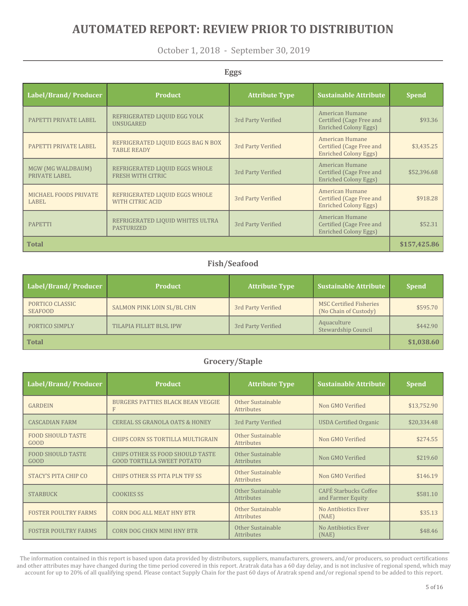October 1, 2018 - September 30, 2019

#### **Eggs Label/Brand/ Producer Product Attribute Type Sustainable Attribute Spend** PAPETTI PRIVATE LABEL REFRIGERATED LIQUID EGG YOLK 3rd Party Verified American Humane Certified (Cage Free and Enriched Colony Eggs) \$93.36 PAPETTI PRIVATE LABEL REFRIGERATED LIQUID EGGS BAG N BOX 3rd Party Verified American Humane Certified (Cage Free and Enriched Colony Eggs) \$3,435.25 MGW (MG WALDBAUM) PRIVATE LABEL REFRIGERATED LIQUID EGGS WHOLE REFRIGERATED LIQUID EGGS WHOLE<br>FRESH WITH CITRIC FRESH 3rd Party Verified American Humane Certified (Cage Free and Enriched Colony Eggs) \$52,396.68 MICHAEL FOODS PRIVATE LABEL REFRIGERATED LIQUID EGGS WHOLE REFRIGERATED LIQUID EGGS WHOLE<br>WITH CITRIC ACID American Humane Certified (Cage Free and Enriched Colony Eggs) \$918.28 PAPETTI REFRIGERATED LIQUID WHITES ULTRA 3rd Party Verified American Humane Certified (Cage Free and Enriched Colony Eggs) \$52.31 **Total \$157,425.86**

### **Fish/Seafood**

| Label/Brand/Producer              | <b>Product</b>                 | <b>Attribute Type</b> | <b>Sustainable Attribute</b>                            | <b>Spend</b> |
|-----------------------------------|--------------------------------|-----------------------|---------------------------------------------------------|--------------|
| PORTICO CLASSIC<br><b>SEAFOOD</b> | SALMON PINK LOIN SL/BL CHN     | 3rd Party Verified    | <b>MSC Certified Fisheries</b><br>(No Chain of Custody) | \$595.70     |
| PORTICO SIMPLY                    | <b>TILAPIA FILLET BLSL IPW</b> | 3rd Party Verified    | Aquaculture<br>Stewardship Council                      | \$442.90     |
| <b>Total</b>                      |                                |                       |                                                         | \$1,038.60   |

### **Grocery/Staple**

| Label/Brand/Producer                    | <b>Product</b>                                                        | <b>Attribute Type</b>                  | <b>Sustainable Attribute</b>                      | <b>Spend</b> |
|-----------------------------------------|-----------------------------------------------------------------------|----------------------------------------|---------------------------------------------------|--------------|
| <b>GARDEIN</b>                          | <b>BURGERS PATTIES BLACK BEAN VEGGIE</b><br>F                         | Other Sustainable<br>Attributes        | Non GMO Verified                                  | \$13,752.90  |
| <b>CASCADIAN FARM</b>                   | <b>CEREAL SS GRANOLA OATS &amp; HONEY</b>                             | 3rd Party Verified                     | <b>USDA Certified Organic</b>                     | \$20,334.48  |
| <b>FOOD SHOULD TASTE</b><br><b>GOOD</b> | CHIPS CORN SS TORTILLA MULTIGRAIN                                     | Other Sustainable<br><b>Attributes</b> | Non GMO Verified                                  | \$274.55     |
| <b>FOOD SHOULD TASTE</b><br><b>GOOD</b> | CHIPS OTHER SS FOOD SHOULD TASTE<br><b>GOOD TORTILLA SWEET POTATO</b> | Other Sustainable<br><b>Attributes</b> | Non GMO Verified                                  | \$219.60     |
| STACY'S PITA CHIP CO                    | CHIPS OTHER SS PITA PLN TFF SS                                        | Other Sustainable<br><b>Attributes</b> | Non GMO Verified                                  | \$146.19     |
| <b>STARBUCK</b>                         | <b>COOKIES SS</b>                                                     | Other Sustainable<br><b>Attributes</b> | <b>CAFÉ Starbucks Coffee</b><br>and Farmer Equity | \$581.10     |
| <b>FOSTER POULTRY FARMS</b>             | <b>CORN DOG ALL MEAT HNY BTR</b>                                      | Other Sustainable<br><b>Attributes</b> | No Antibiotics Ever<br>(NAE)                      | \$35.13      |
| <b>FOSTER POULTRY FARMS</b>             | <b>CORN DOG CHKN MINI HNY BTR</b>                                     | Other Sustainable<br><b>Attributes</b> | No Antibiotics Ever<br>(NAE)                      | \$48.46      |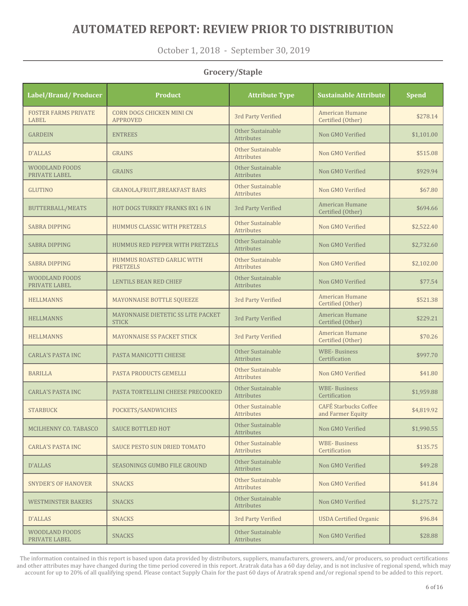October 1, 2018 - September 30, 2019

### **Grocery/Staple**

| Label/Brand/Producer                   | <b>Product</b>                                       | <b>Attribute Type</b>                  | <b>Sustainable Attribute</b>                      | <b>Spend</b> |
|----------------------------------------|------------------------------------------------------|----------------------------------------|---------------------------------------------------|--------------|
| <b>FOSTER FARMS PRIVATE</b><br>LABEL   | <b>CORN DOGS CHICKEN MINI CN</b><br><b>APPROVED</b>  | 3rd Party Verified                     | American Humane<br>Certified (Other)              | \$278.14     |
| <b>GARDEIN</b>                         | <b>ENTREES</b>                                       | Other Sustainable<br>Attributes        | Non GMO Verified                                  | \$1,101.00   |
| <b>D'ALLAS</b>                         | <b>GRAINS</b>                                        | Other Sustainable<br>Attributes        | Non GMO Verified                                  | \$515.08     |
| <b>WOODLAND FOODS</b><br>PRIVATE LABEL | <b>GRAINS</b>                                        | Other Sustainable<br>Attributes        | Non GMO Verified                                  | \$929.94     |
| <b>GLUTINO</b>                         | <b>GRANOLA, FRUIT, BREAKFAST BARS</b>                | Other Sustainable<br>Attributes        | Non GMO Verified                                  | \$67.80      |
| <b>BUTTERBALL/MEATS</b>                | <b>HOT DOGS TURKEY FRANKS 8X1 6 IN</b>               | 3rd Party Verified                     | American Humane<br>Certified (Other)              | \$694.66     |
| <b>SABRA DIPPING</b>                   | HUMMUS CLASSIC WITH PRETZELS                         | Other Sustainable<br>Attributes        | Non GMO Verified                                  | \$2,522.40   |
| <b>SABRA DIPPING</b>                   | HUMMUS RED PEPPER WITH PRETZELS                      | Other Sustainable<br><b>Attributes</b> | Non GMO Verified                                  | \$2,732.60   |
| <b>SABRA DIPPING</b>                   | <b>HUMMUS ROASTED GARLIC WITH</b><br><b>PRETZELS</b> | Other Sustainable<br>Attributes        | Non GMO Verified                                  | \$2,102.00   |
| <b>WOODLAND FOODS</b><br>PRIVATE LABEL | <b>LENTILS BEAN RED CHIEF</b>                        | Other Sustainable<br>Attributes        | Non GMO Verified                                  | \$77.54      |
| <b>HELLMANNS</b>                       | MAYONNAISE BOTTLE SQUEEZE                            | 3rd Party Verified                     | American Humane<br>Certified (Other)              | \$521.38     |
| <b>HELLMANNS</b>                       | MAYONNAISE DIETETIC SS LITE PACKET<br><b>STICK</b>   | 3rd Party Verified                     | American Humane<br>Certified (Other)              | \$229.21     |
| <b>HELLMANNS</b>                       | MAYONNAISE SS PACKET STICK                           | 3rd Party Verified                     | American Humane<br>Certified (Other)              | \$70.26      |
| <b>CARLA'S PASTA INC</b>               | PASTA MANICOTTI CHEESE                               | Other Sustainable<br>Attributes        | <b>WBE-Business</b><br>Certification              | \$997.70     |
| <b>BARILLA</b>                         | PASTA PRODUCTS GEMELLI                               | Other Sustainable<br>Attributes        | Non GMO Verified                                  | \$41.80      |
| <b>CARLA'S PASTA INC</b>               | PASTA TORTELLINI CHEESE PRECOOKED                    | Other Sustainable<br>Attributes        | <b>WBE-Business</b><br>Certification              | \$1,959.88   |
| <b>STARBUCK</b>                        | POCKETS/SANDWICHES                                   | Other Sustainable<br>Attributes        | <b>CAFÉ Starbucks Coffee</b><br>and Farmer Equity | \$4,819.92   |
| MCILHENNY CO. TABASCO                  | <b>SAUCE BOTTLED HOT</b>                             | Other Sustainable<br>Attributes        | Non GMO Verified                                  | \$1,990.55   |
| <b>CARLA'S PASTA INC</b>               | <b>SAUCE PESTO SUN DRIED TOMATO</b>                  | Other Sustainable<br>Attributes        | <b>WBE-Business</b><br>Certification              | \$135.75     |
| <b>D'ALLAS</b>                         | SEASONINGS GUMBO FILE GROUND                         | Other Sustainable<br>Attributes        | Non GMO Verified                                  | \$49.28      |
| <b>SNYDER'S OF HANOVER</b>             | <b>SNACKS</b>                                        | <b>Other Sustainable</b><br>Attributes | Non GMO Verified                                  | \$41.84      |
| <b>WESTMINSTER BAKERS</b>              | <b>SNACKS</b>                                        | Other Sustainable<br>Attributes        | Non GMO Verified                                  | \$1,275.72   |
| D'ALLAS                                | <b>SNACKS</b>                                        | 3rd Party Verified                     | <b>USDA Certified Organic</b>                     | \$96.84      |
| WOODLAND FOODS<br>PRIVATE LABEL        | <b>SNACKS</b>                                        | Other Sustainable<br>Attributes        | Non GMO Verified                                  | \$28.88      |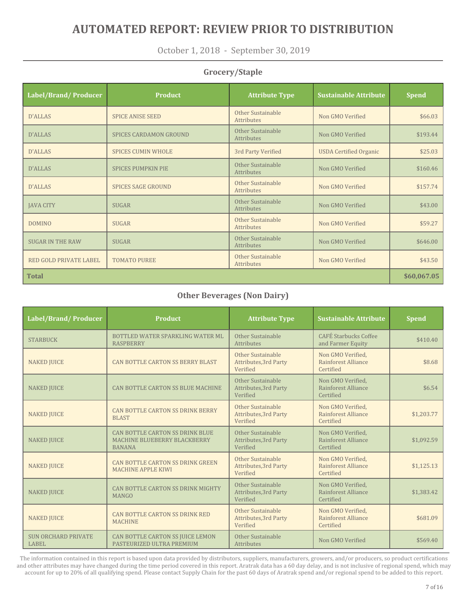October 1, 2018 - September 30, 2019

### **Grocery/Staple**

| Label/Brand/Producer          | <b>Product</b>                | <b>Attribute Type</b>           | <b>Sustainable Attribute</b>  | <b>Spend</b> |
|-------------------------------|-------------------------------|---------------------------------|-------------------------------|--------------|
| D'ALLAS                       | <b>SPICE ANISE SEED</b>       | Other Sustainable<br>Attributes | Non GMO Verified              | \$66.03      |
| <b>D'ALLAS</b>                | <b>SPICES CARDAMON GROUND</b> | Other Sustainable<br>Attributes | Non GMO Verified              | \$193.44     |
| D'ALLAS                       | <b>SPICES CUMIN WHOLE</b>     | 3rd Party Verified              | <b>USDA Certified Organic</b> | \$25.03      |
| <b>D'ALLAS</b>                | <b>SPICES PUMPKIN PIE</b>     | Other Sustainable<br>Attributes | Non GMO Verified              | \$160.46     |
| <b>D'ALLAS</b>                | <b>SPICES SAGE GROUND</b>     | Other Sustainable<br>Attributes | Non GMO Verified              | \$157.74     |
| <b>JAVA CITY</b>              | <b>SUGAR</b>                  | Other Sustainable<br>Attributes | Non GMO Verified              | \$43.00      |
| <b>DOMINO</b>                 | <b>SUGAR</b>                  | Other Sustainable<br>Attributes | Non GMO Verified              | \$59.27      |
| <b>SUGAR IN THE RAW</b>       | <b>SUGAR</b>                  | Other Sustainable<br>Attributes | Non GMO Verified              | \$646.00     |
| <b>RED GOLD PRIVATE LABEL</b> | <b>TOMATO PUREE</b>           | Other Sustainable<br>Attributes | Non GMO Verified              | \$43.50      |
| <b>Total</b>                  |                               |                                 |                               |              |

### **Other Beverages (Non Dairy)**

| Label/Brand/Producer                       | <b>Product</b>                                                                   | <b>Attribute Type</b>                                  | <b>Sustainable Attribute</b>                          | <b>Spend</b> |
|--------------------------------------------|----------------------------------------------------------------------------------|--------------------------------------------------------|-------------------------------------------------------|--------------|
| <b>STARBUCK</b>                            | BOTTLED WATER SPARKLING WATER ML<br><b>RASPBERRY</b>                             | Other Sustainable<br>Attributes                        | <b>CAFÉ Starbucks Coffee</b><br>and Farmer Equity     | \$410.40     |
| <b>NAKED JUICE</b>                         | <b>CAN BOTTLE CARTON SS BERRY BLAST</b>                                          | Other Sustainable<br>Attributes, 3rd Party<br>Verified | Non GMO Verified,<br>Rainforest Alliance<br>Certified | \$8.68       |
| <b>NAKED JUICE</b>                         | <b>CAN BOTTLE CARTON SS BLUE MACHINE</b>                                         | Other Sustainable<br>Attributes, 3rd Party<br>Verified | Non GMO Verified,<br>Rainforest Alliance<br>Certified | \$6.54       |
| <b>NAKED JUICE</b>                         | CAN BOTTLE CARTON SS DRINK BERRY<br><b>BLAST</b>                                 | Other Sustainable<br>Attributes, 3rd Party<br>Verified | Non GMO Verified,<br>Rainforest Alliance<br>Certified | \$1,203.77   |
| <b>NAKED JUICE</b>                         | CAN BOTTLE CARTON SS DRINK BLUE<br>MACHINE BLUEBERRY BLACKBERRY<br><b>BANANA</b> | Other Sustainable<br>Attributes, 3rd Party<br>Verified | Non GMO Verified,<br>Rainforest Alliance<br>Certified | \$1,092.59   |
| <b>NAKED JUICE</b>                         | CAN BOTTLE CARTON SS DRINK GREEN<br><b>MACHINE APPLE KIWI</b>                    | Other Sustainable<br>Attributes, 3rd Party<br>Verified | Non GMO Verified,<br>Rainforest Alliance<br>Certified | \$1,125.13   |
| <b>NAKED JUICE</b>                         | CAN BOTTLE CARTON SS DRINK MIGHTY<br><b>MANGO</b>                                | Other Sustainable<br>Attributes, 3rd Party<br>Verified | Non GMO Verified,<br>Rainforest Alliance<br>Certified | \$1,383.42   |
| <b>NAKED JUICE</b>                         | <b>CAN BOTTLE CARTON SS DRINK RED</b><br><b>MACHINE</b>                          | Other Sustainable<br>Attributes, 3rd Party<br>Verified | Non GMO Verified,<br>Rainforest Alliance<br>Certified | \$681.09     |
| <b>SUN ORCHARD PRIVATE</b><br><b>LABEL</b> | CAN BOTTLE CARTON SS JUICE LEMON<br>PASTEURIZED ULTRA PREMIUM                    | Other Sustainable<br>Attributes                        | Non GMO Verified                                      | \$569.40     |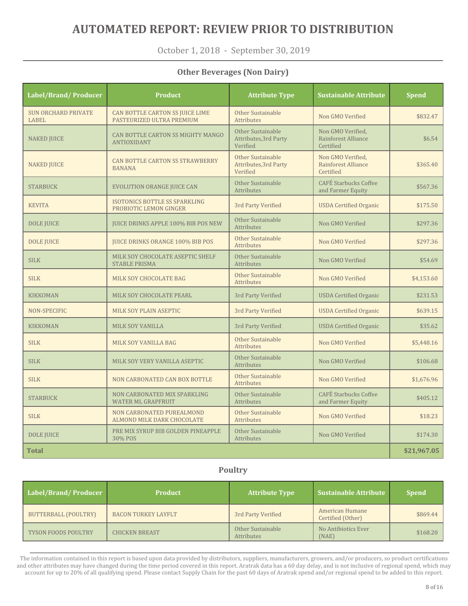October 1, 2018 - September 30, 2019

### **Other Beverages (Non Dairy)**

| Label/Brand/Producer                | <b>Product</b>                                                 | <b>Attribute Type</b>                                         | <b>Sustainable Attribute</b>                          | <b>Spend</b> |
|-------------------------------------|----------------------------------------------------------------|---------------------------------------------------------------|-------------------------------------------------------|--------------|
| <b>SUN ORCHARD PRIVATE</b><br>LABEL | CAN BOTTLE CARTON SS JUICE LIME<br>PASTEURIZED ULTRA PREMIUM   | Other Sustainable<br><b>Attributes</b>                        | Non GMO Verified                                      | \$832.47     |
| <b>NAKED JUICE</b>                  | CAN BOTTLE CARTON SS MIGHTY MANGO<br><b>ANTIOXIDANT</b>        | Other Sustainable<br>Attributes, 3rd Party<br>Verified        | Non GMO Verified,<br>Rainforest Alliance<br>Certified | \$6.54       |
| <b>NAKED JUICE</b>                  | <b>CAN BOTTLE CARTON SS STRAWBERRY</b><br><b>BANANA</b>        | Other Sustainable<br><b>Attributes, 3rd Party</b><br>Verified | Non GMO Verified,<br>Rainforest Alliance<br>Certified | \$365.40     |
| <b>STARBUCK</b>                     | <b>EVOLUTION ORANGE JUICE CAN</b>                              | Other Sustainable<br><b>Attributes</b>                        | <b>CAFÉ Starbucks Coffee</b><br>and Farmer Equity     | \$567.36     |
| <b>KEVITA</b>                       | <b>ISOTONICS BOTTLE SS SPARKLING</b><br>PROBIOTIC LEMON GINGER | 3rd Party Verified                                            | <b>USDA Certified Organic</b>                         | \$175.50     |
| <b>DOLE JUICE</b>                   | <b>JUICE DRINKS APPLE 100% BIB POS NEW</b>                     | Other Sustainable<br><b>Attributes</b>                        | Non GMO Verified                                      | \$297.36     |
| <b>DOLE JUICE</b>                   | <b>JUICE DRINKS ORANGE 100% BIB POS</b>                        | Other Sustainable<br><b>Attributes</b>                        | Non GMO Verified                                      | \$297.36     |
| <b>SILK</b>                         | MILK SOY CHOCOLATE ASEPTIC SHELF<br><b>STABLE PRISMA</b>       | <b>Other Sustainable</b><br><b>Attributes</b>                 | Non GMO Verified                                      | \$54.69      |
| <b>SILK</b>                         | MILK SOY CHOCOLATE BAG                                         | Other Sustainable<br>Attributes                               | Non GMO Verified                                      | \$4,153.60   |
| <b>KIKKOMAN</b>                     | MILK SOY CHOCOLATE PEARL                                       | 3rd Party Verified                                            | <b>USDA Certified Organic</b>                         | \$231.53     |
| NON-SPECIFIC                        | MILK SOY PLAIN ASEPTIC                                         | 3rd Party Verified                                            | <b>USDA</b> Certified Organic                         | \$639.15     |
| <b>KIKKOMAN</b>                     | MILK SOY VANILLA                                               | 3rd Party Verified                                            | <b>USDA Certified Organic</b>                         | \$35.62      |
| <b>SILK</b>                         | MILK SOY VANILLA BAG                                           | Other Sustainable<br><b>Attributes</b>                        | Non GMO Verified                                      | \$5,448.16   |
| <b>SILK</b>                         | MILK SOY VERY VANILLA ASEPTIC                                  | <b>Other Sustainable</b><br><b>Attributes</b>                 | Non GMO Verified                                      | \$106.68     |
| <b>SILK</b>                         | NON CARBONATED CAN BOX BOTTLE                                  | Other Sustainable<br>Attributes                               | Non GMO Verified                                      | \$1,676.96   |
| <b>STARBUCK</b>                     | NON CARBONATED MIX SPARKLING<br><b>WATER ML GRAPFRUIT</b>      | Other Sustainable<br>Attributes                               | <b>CAFÉ Starbucks Coffee</b><br>and Farmer Equity     | \$405.12     |
| <b>SILK</b>                         | NON CARBONATED PUREALMOND<br>ALMOND MILK DARK CHOCOLATE        | Other Sustainable<br><b>Attributes</b>                        | Non GMO Verified                                      | \$18.23      |
| <b>DOLE JUICE</b>                   | PRE MIX SYRUP BIB GOLDEN PINEAPPLE<br>30% POS                  | Other Sustainable<br><b>Attributes</b>                        | Non GMO Verified                                      | \$174.30     |
| <b>Total</b>                        |                                                                |                                                               |                                                       | \$21,967.05  |

### **Poultry**

| Label/Brand/Producer       | <b>Product</b>             | <b>Attribute Type</b>           | <b>Sustainable Attribute</b>         | <b>Spend</b> |
|----------------------------|----------------------------|---------------------------------|--------------------------------------|--------------|
| BUTTERBALL (POULTRY)       | <b>BACON TURKEY LAYFLT</b> | 3rd Party Verified              | American Humane<br>Certified (Other) | \$869.44     |
| <b>TYSON FOODS POULTRY</b> | <b>CHICKEN BREAST</b>      | Other Sustainable<br>Attributes | No Antibiotics Ever<br>(NAE)         | \$168.20     |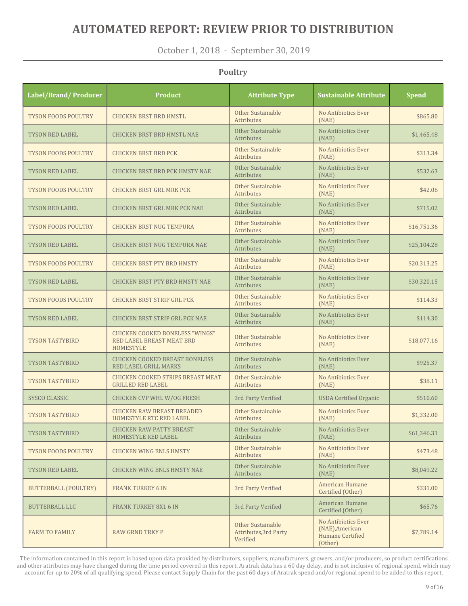October 1, 2018 - September 30, 2019

**Poultry**

#### **Label/Brand/ Producer Product Attribute Type Sustainable Attribute Spend** TYSON FOODS POULTRY CHICKEN BRST BRD HMSTL Other Sustainable **Attributes** No Antibiotics Ever (NAE) \$865.80 TYSON RED LABEL CHICKEN BRST BRD HMSTL NAE Other Sustainable Attributes No Antibiotics Ever  $(NAE)$   $NAB)$ TYSON FOODS POULTRY CHICKEN BRST BRD PCK Other Sustainable **Attributes** No Antibiotics Ever (NAE)  $$313.34$ TYSON RED LABEL CHICKEN BRST BRD PCK HMSTY NAE Other Sustainable Attributes No Antibiotics Ever (NAE) \$532.63 TYSON FOODS POULTRY CHICKEN BRST GRL MRK PCK Other Sustainable Attributes No Antibiotics Ever  $(NAE)$   $NAB)$   $NAB$ TYSON RED LABEL CHICKEN BRST GRL MRK PCK NAE Other Sustainable Attributes No Antibiotics Ever  $(NAE)$   $NAB$   $N215.02$ TYSON FOODS POULTRY CHICKEN BRST NUG TEMPURA Other Sustainable **Attributes** No Antibiotics Ever (NAE) \$16,751.36 TYSON RED LABEL CHICKEN BRST NUG TEMPURA NAE Other Sustainable Attributes No Antibiotics Ever  $(NAF)$   $NAF$ TYSON FOODS POULTRY CHICKEN BRST PTY BRD HMSTY Other Sustainable Attributes No Antibiotics Ever  $(NAE)$  \$20,313.25 TYSON RED LABEL CHICKEN BRST PTY BRD HMSTY NAE Other Sustainable Attributes No Antibiotics Ever \$30,320.15 TYSON FOODS POULTRY CHICKEN BRST STRIP GRL PCK Other Sustainable Attributes No Antibiotics Ever (NAE) \$114.33 TYSON RED LABEL CHICKEN BRST STRIP GRL PCK NAE Other Sustainable Attributes No Antibiotics Ever  $(NAE)$  \$114.30 TYSON TASTYBIRD CHICKEN COOKED BONELESS "WINGS" RED LABEL BREAST MEAT BRD HOMESTYLE Other Sustainable Attributes No Antibiotics Ever \$18,077.16 TYSON TASTYBIRD CHICKEN COOKED BREAST BONELESS RED LABEL GRILL MARKS Other Sustainable Attributes No Antibiotics Ever  $(NAE)$   $N0$  Alltibuotics Even  $\left\{ \right. \right.$  \$925.37 TYSON TASTYBIRD CHICKEN COOKED STRIPS BREAST MEAT GRILLED RED LABEL Other Sustainable **Attributes** No Antibiotics Ever  $(NAE)$  \$38.11 SYSCO CLASSIC CHICKEN CVP WHL W/OG FRESH 3rd Party Verified USDA Certified Organic \$510.60 TYSON TASTYBIRD CHICKEN RAW BREAST BREADED HOMESTYLE RTC RED LABEL Other Sustainable Attributes No Antibiotics Ever  $(NAE)$   $(NAE)$   $(1,332.00)$ TYSON TASTYBIRD CHICKEN RAW PATTY BREAST HOMESTYLE RED LABEL Other Sustainable Attributes No Antibiotics Ever  $(NAF)$  \$61,346.31 TYSON FOODS POULTRY CHICKEN WING BNLS HMSTY **CHICKEN** Attributes No Antibiotics Ever (NAE)  $$473.48$ TYSON RED LABEL CHICKEN WING BNLS HMSTY NAE Other Sustainable **Attributes** No Antibiotics Ever  $(NAF)$   $NAF$ BUTTERBALL (POULTRY) FRANK TURKEY 6 IN 3rd Party Verified American Humane Experimental municipal certified (Other) 3331.00 BUTTERBALL LLC **FRANK TURKEY 8X1 6 IN** 3rd Party Verified **American Humane** American figure<br>Certified (Other)  $$65.76$ FARM TO FAMILY RAW GRND TRKY P Other Sustainable Attributes,3rd Party Verified No Antibiotics Ever (NAE),American Humane Certified (Other) \$7,789.14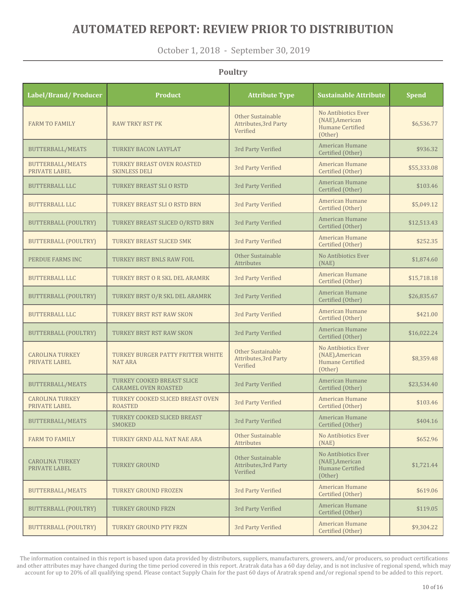October 1, 2018 - September 30, 2019

**Poultry**

#### **Label/Brand/ Producer Product Attribute Type Sustainable Attribute Spend** FARM TO FAMILY RAW TRKY RST PK Other Sustainable Attributes,3rd Party Verified No Antibiotics Ever (NAE),American Humane Certified (Other) \$6,536.77 BUTTERBALL/MEATS TURKEY BACON LAYFLAT 3rd Party Verified American Humane American figure<br>Certified (Other)  $$936.32$ BUTTERBALL/MEATS PRIVATE LABEL TURKEY BREAST OVEN ROASTED 3rd Party Verified American Humane<br>SKINLESS DELI (Other) American Humane<br>Certified (Other) \$55,333.08 BUTTERBALL LLC TURKEY BREAST SLI O RSTD 3rd Party Verified American Humane Experimental frumane<br>Certified (Other)  $$103.46$ BUTTERBALL LLC TURKEY BREAST SLI O RSTD BRN 3rd Party Verified American Humane American Humane<br>Certified (Other) \$5,049.12 BUTTERBALL (POULTRY) TURKEY BREAST SLICED O/RSTD BRN 3rd Party Verified American Humane American Humane<br>Certified (Other) \$12,513.43 BUTTERBALL (POULTRY) TURKEY BREAST SLICED SMK 3rd Party Verified American Humane American Humane<br>Certified (Other) \$252.35 PERDUE FARMS INC TURKEY BRST BNLS RAW FOIL Other Sustainable Attributes No Antibiotics Ever (NAE)  $$1,874.60$ BUTTERBALL LLC TURKEY BRST O R SKL DEL ARAMRK 3rd Party Verified American Humane American Humane<br>Certified (Other) \$15,718.18 BUTTERBALL (POULTRY) TURKEY BRST O/R SKL DEL ARAMRK 3rd Party Verified American Humane Exertified (Other) \$26,835.67 BUTTERBALL LLC TURKEY BRST RST RAW SKON 3rd Party Verified American Humane Exile Transformation Certified (Other) BUTTERBALL (POULTRY) TURKEY BRST RST RAW SKON 3rd Party Verified American Humane American numane<br>Certified (Other) \$16,022.24 CAROLINA TURKEY PRIVATE LABEL TURKEY BURGER PATTY FRITTER WHITE NAT ARA Other Sustainable Attributes,3rd Party Verified No Antibiotics Ever (NAE),American Humane Certified (Other) \$8,359.48 BUTTERBALL/MEATS TURKEY COOKED BREAST SLICE TURKEY COOKED BREAST SLICE 3rd Party Verified American Humane<br>CARAMEL OVEN ROASTED 3rd Party Verified Certified (Other) American Humane<br>Certified (Other) \$23,534.40 CAROLINA TURKEY PRIVATE LABEL TURKEY COOKED SLICED BREAST OVEN 3rd Party Verified American Humane<br>ROASTED (Other) American Humane \$103.46 BUTTERBALL/MEATS TURKEY COOKED SLICED BREAST 3rd Party Verified American Humane American Humane<br>Certified (Other) \$404.16 FARM TO FAMILY TURKEY GRND ALL NAT NAE ARA Other Sustainable Attributes No Antibiotics Ever (NAE) \$652.96 CAROLINA TURKEY PRIVATE LABEL TURKEY GROUND Other Sustainable Attributes,3rd Party Verified No Antibiotics Ever (NAE),American Humane Certified (Other) \$1,721.44 BUTTERBALL/MEATS TURKEY GROUND FROZEN 3rd Party Verified American Humane Experimental frumane<br>Certified (Other)  $$619.06$ BUTTERBALL (POULTRY) TURKEY GROUND FRZN 3rd Party Verified American Humane Exile Transformation Certified (Other)  $BUTTERBALL (POUTRY)$  TURKEY GROUND PTY FRZN 3rd Party Verified American Humane American fidulatie and the state of the set of the set of the set of the set of the set of the set of the set of the set of the set of the set of the set of the set of the set of the set of the set of the set of the set of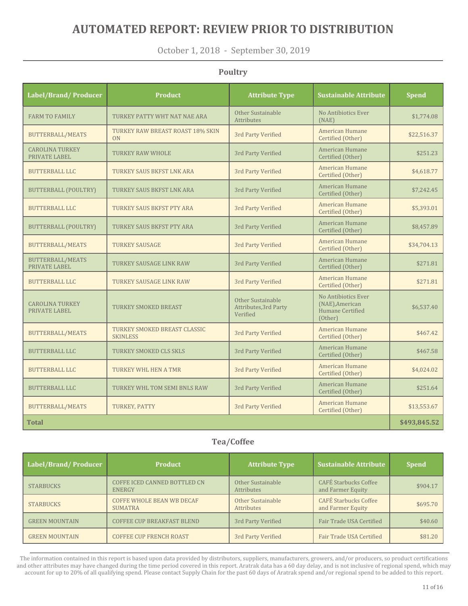October 1, 2018 - September 30, 2019

| Label/Brand/Producer                     | <b>Product</b>                                  | <b>Attribute Type</b>                                  | <b>Sustainable Attribute</b>                                                 | <b>Spend</b> |
|------------------------------------------|-------------------------------------------------|--------------------------------------------------------|------------------------------------------------------------------------------|--------------|
| <b>FARM TO FAMILY</b>                    | TURKEY PATTY WHT NAT NAE ARA                    | Other Sustainable<br><b>Attributes</b>                 | No Antibiotics Ever<br>(NAE)                                                 | \$1,774.08   |
| <b>BUTTERBALL/MEATS</b>                  | TURKEY RAW BREAST ROAST 18% SKIN<br>ON          | 3rd Party Verified                                     | American Humane<br>Certified (Other)                                         | \$22,516.37  |
| <b>CAROLINA TURKEY</b><br>PRIVATE LABEL  | <b>TURKEY RAW WHOLE</b>                         | 3rd Party Verified                                     | American Humane<br>Certified (Other)                                         | \$251.23     |
| <b>BUTTERBALL LLC</b>                    | TURKEY SAUS BKFST LNK ARA                       | 3rd Party Verified                                     | American Humane<br>Certified (Other)                                         | \$4,618.77   |
| BUTTERBALL (POULTRY)                     | TURKEY SAUS BKFST LNK ARA                       | 3rd Party Verified                                     | American Humane<br>Certified (Other)                                         | \$7,242.45   |
| <b>BUTTERBALL LLC</b>                    | TURKEY SAUS BKFST PTY ARA                       | 3rd Party Verified                                     | American Humane<br>Certified (Other)                                         | \$5,393.01   |
| <b>BUTTERBALL (POULTRY)</b>              | TURKEY SAUS BKFST PTY ARA                       | 3rd Party Verified                                     | American Humane<br>Certified (Other)                                         | \$8,457.89   |
| <b>BUTTERBALL/MEATS</b>                  | <b>TURKEY SAUSAGE</b>                           | 3rd Party Verified                                     | American Humane<br>Certified (Other)                                         | \$34,704.13  |
| <b>BUTTERBALL/MEATS</b><br>PRIVATE LABEL | TURKEY SAUSAGE LINK RAW                         | 3rd Party Verified                                     | American Humane<br>Certified (Other)                                         | \$271.81     |
| <b>BUTTERBALL LLC</b>                    | <b>TURKEY SAUSAGE LINK RAW</b>                  | 3rd Party Verified                                     | <b>American Humane</b><br>Certified (Other)                                  | \$271.81     |
| <b>CAROLINA TURKEY</b><br>PRIVATE LABEL  | <b>TURKEY SMOKED BREAST</b>                     | Other Sustainable<br>Attributes, 3rd Party<br>Verified | No Antibiotics Ever<br>(NAE), American<br><b>Humane Certified</b><br>(Other) | \$6,537.40   |
| <b>BUTTERBALL/MEATS</b>                  | TURKEY SMOKED BREAST CLASSIC<br><b>SKINLESS</b> | 3rd Party Verified                                     | <b>American Humane</b><br>Certified (Other)                                  | \$467.42     |
| <b>BUTTERBALL LLC</b>                    | TURKEY SMOKED CLS SKLS                          | 3rd Party Verified                                     | American Humane<br>Certified (Other)                                         | \$467.58     |
| <b>BUTTERBALL LLC</b>                    | TURKEY WHL HEN A TMR                            | 3rd Party Verified                                     | American Humane<br>Certified (Other)                                         | \$4,024.02   |
| <b>BUTTERBALL LLC</b>                    | TURKEY WHL TOM SEMI BNLS RAW                    | 3rd Party Verified                                     | American Humane<br>Certified (Other)                                         | \$251.64     |
| <b>BUTTERBALL/MEATS</b>                  | TURKEY, PATTY                                   | 3rd Party Verified                                     | <b>American Humane</b><br>Certified (Other)                                  | \$13,553.67  |
| <b>Total</b>                             |                                                 |                                                        |                                                                              | \$493,845.52 |

#### **Poultry**

#### **Tea/Coffee**

| Label/Brand/Producer  | <b>Product</b>                                     | <b>Attribute Type</b>                  | <b>Sustainable Attribute</b>                      | <b>Spend</b> |
|-----------------------|----------------------------------------------------|----------------------------------------|---------------------------------------------------|--------------|
| <b>STARBUCKS</b>      | COFFE ICED CANNED BOTTLED CN<br><b>ENERGY</b>      | Other Sustainable<br><b>Attributes</b> | <b>CAFÉ Starbucks Coffee</b><br>and Farmer Equity | \$904.17     |
| <b>STARBUCKS</b>      | <b>COFFE WHOLE BEAN WB DECAF</b><br><b>SUMATRA</b> | Other Sustainable<br><b>Attributes</b> | <b>CAFÉ Starbucks Coffee</b><br>and Farmer Equity | \$695.70     |
| <b>GREEN MOUNTAIN</b> | <b>COFFEE CUP BREAKFAST BLEND</b>                  | 3rd Party Verified                     | Fair Trade USA Certified                          | \$40.60      |
| <b>GREEN MOUNTAIN</b> | <b>COFFEE CUP FRENCH ROAST</b>                     | 3rd Party Verified                     | Fair Trade USA Certified                          | \$81.20      |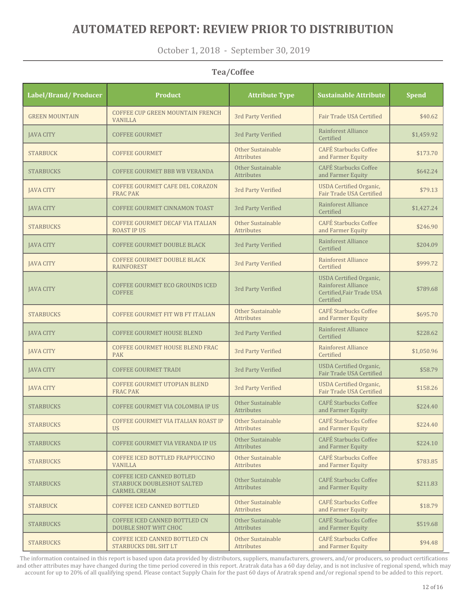October 1, 2018 - September 30, 2019

#### **Tea/Coffee**

| Label/Brand/ Producer | <b>Product</b>                                                                        | <b>Attribute Type</b>                  | <b>Sustainable Attribute</b>                                                                    | <b>Spend</b> |
|-----------------------|---------------------------------------------------------------------------------------|----------------------------------------|-------------------------------------------------------------------------------------------------|--------------|
| <b>GREEN MOUNTAIN</b> | COFFEE CUP GREEN MOUNTAIN FRENCH<br><b>VANILLA</b>                                    | 3rd Party Verified                     | Fair Trade USA Certified                                                                        | \$40.62      |
| <b>IAVA CITY</b>      | <b>COFFEE GOURMET</b>                                                                 | 3rd Party Verified                     | Rainforest Alliance<br>Certified                                                                | \$1,459.92   |
| <b>STARBUCK</b>       | <b>COFFEE GOURMET</b>                                                                 | Other Sustainable<br>Attributes        | <b>CAFÉ Starbucks Coffee</b><br>and Farmer Equity                                               | \$173.70     |
| <b>STARBUCKS</b>      | <b>COFFEE GOURMET BBB WB VERANDA</b>                                                  | Other Sustainable<br>Attributes        | <b>CAFÉ Starbucks Coffee</b><br>and Farmer Equity                                               | \$642.24     |
| <b>JAVA CITY</b>      | COFFEE GOURMET CAFE DEL CORAZON<br><b>FRAC PAK</b>                                    | 3rd Party Verified                     | <b>USDA</b> Certified Organic,<br>Fair Trade USA Certified                                      | \$79.13      |
| <b>JAVA CITY</b>      | COFFEE GOURMET CINNAMON TOAST                                                         | 3rd Party Verified                     | Rainforest Alliance<br>Certified                                                                | \$1,427.24   |
| <b>STARBUCKS</b>      | COFFEE GOURMET DECAF VIA ITALIAN<br><b>ROAST IP US</b>                                | Other Sustainable<br><b>Attributes</b> | <b>CAFÉ Starbucks Coffee</b><br>and Farmer Equity                                               | \$246.90     |
| <b>JAVA CITY</b>      | <b>COFFEE GOURMET DOUBLE BLACK</b>                                                    | 3rd Party Verified                     | Rainforest Alliance<br>Certified                                                                | \$204.09     |
| <b>JAVA CITY</b>      | <b>COFFEE GOURMET DOUBLE BLACK</b><br><b>RAINFOREST</b>                               | 3rd Party Verified                     | Rainforest Alliance<br>Certified                                                                | \$999.72     |
| <b>JAVA CITY</b>      | COFFEE GOURMET ECO GROUNDS ICED<br><b>COFFEE</b>                                      | 3rd Party Verified                     | <b>USDA</b> Certified Organic,<br>Rainforest Alliance<br>Certified, Fair Trade USA<br>Certified | \$789.68     |
| <b>STARBUCKS</b>      | COFFEE GOURMET FIT WB FT ITALIAN                                                      | Other Sustainable<br>Attributes        | <b>CAFÉ Starbucks Coffee</b><br>and Farmer Equity                                               | \$695.70     |
| <b>JAVA CITY</b>      | <b>COFFEE GOURMET HOUSE BLEND</b>                                                     | 3rd Party Verified                     | Rainforest Alliance<br>Certified                                                                | \$228.62     |
| <b>JAVA CITY</b>      | COFFEE GOURMET HOUSE BLEND FRAC<br><b>PAK</b>                                         | 3rd Party Verified                     | Rainforest Alliance<br>Certified                                                                | \$1,050.96   |
| <b>JAVA CITY</b>      | <b>COFFEE GOURMET TRADI</b>                                                           | 3rd Party Verified                     | <b>USDA</b> Certified Organic,<br>Fair Trade USA Certified                                      | \$58.79      |
| <b>JAVA CITY</b>      | <b>COFFEE GOURMET UTOPIAN BLEND</b><br><b>FRAC PAK</b>                                | 3rd Party Verified                     | <b>USDA</b> Certified Organic,<br>Fair Trade USA Certified                                      | \$158.26     |
| <b>STARBUCKS</b>      | COFFEE GOURMET VIA COLOMBIA IP US                                                     | Other Sustainable<br><b>Attributes</b> | <b>CAFÉ Starbucks Coffee</b><br>and Farmer Equity                                               | \$224.40     |
| <b>STARBUCKS</b>      | COFFEE GOURMET VIA ITALIAN ROAST IP<br><b>US</b>                                      | Other Sustainable<br>Attributes        | <b>CAFÉ Starbucks Coffee</b><br>and Farmer Equity                                               | \$224.40     |
| <b>STARBUCKS</b>      | COFFEE GOURMET VIA VERANDA IP US                                                      | Other Sustainable<br>Attributes        | <b>CAFÉ Starbucks Coffee</b><br>and Farmer Equity                                               | \$224.10     |
| <b>STARBUCKS</b>      | COFFEE ICED BOTTLED FRAPPUCCINO<br><b>VANILLA</b>                                     | Other Sustainable<br>Attributes        | <b>CAFÉ Starbucks Coffee</b><br>and Farmer Equity                                               | \$783.85     |
| <b>STARBUCKS</b>      | <b>COFFEE ICED CANNED BOTLED</b><br>STARBUCK DOUBLESHOT SALTED<br><b>CARMEL CREAM</b> | Other Sustainable<br>Attributes        | <b>CAFÉ Starbucks Coffee</b><br>and Farmer Equity                                               | \$211.83     |
| <b>STARBUCK</b>       | <b>COFFEE ICED CANNED BOTTLED</b>                                                     | Other Sustainable<br>Attributes        | <b>CAFÉ Starbucks Coffee</b><br>and Farmer Equity                                               | \$18.79      |
| <b>STARBUCKS</b>      | COFFEE ICED CANNED BOTTLED CN<br><b>DOUBLE SHOT WHT CHOC</b>                          | Other Sustainable<br>Attributes        | <b>CAFÉ Starbucks Coffee</b><br>and Farmer Equity                                               | \$519.68     |
| <b>STARBUCKS</b>      | COFFEE ICED CANNED BOTTLED CN<br>STARBUCKS DBL SHT LT                                 | Other Sustainable<br>Attributes        | <b>CAFÉ Starbucks Coffee</b><br>and Farmer Equity                                               | \$94.48      |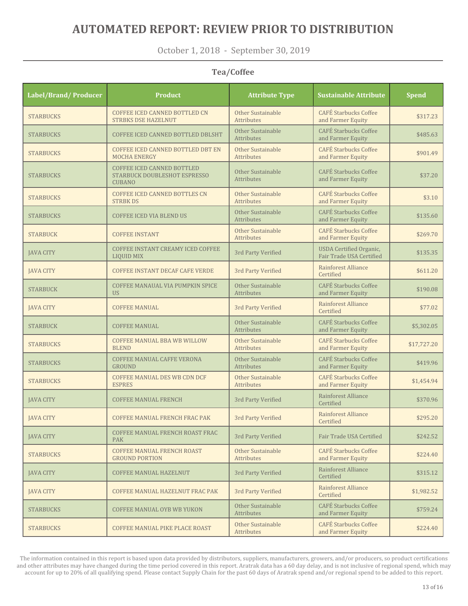October 1, 2018 - September 30, 2019

#### **Tea/Coffee**

| Label/Brand/Producer | <b>Product</b>                                                                     | <b>Attribute Type</b>                  | <b>Sustainable Attribute</b>                               | <b>Spend</b> |
|----------------------|------------------------------------------------------------------------------------|----------------------------------------|------------------------------------------------------------|--------------|
| <b>STARBUCKS</b>     | COFFEE ICED CANNED BOTTLED CN<br><b>STRBKS DSE HAZELNUT</b>                        | Other Sustainable<br><b>Attributes</b> | <b>CAFÉ Starbucks Coffee</b><br>and Farmer Equity          | \$317.23     |
| <b>STARBUCKS</b>     | COFFEE ICED CANNED BOTTLED DBLSHT                                                  | Other Sustainable<br>Attributes        | <b>CAFÉ Starbucks Coffee</b><br>and Farmer Equity          | \$485.63     |
| <b>STARBUCKS</b>     | COFFEE ICED CANNED BOTTLED DBT EN<br><b>MOCHA ENERGY</b>                           | Other Sustainable<br>Attributes        | <b>CAFÉ Starbucks Coffee</b><br>and Farmer Equity          | \$901.49     |
| <b>STARBUCKS</b>     | <b>COFFEE ICED CANNED BOTTLED</b><br>STARBUCK DOUBLESHOT ESPRESSO<br><b>CUBANO</b> | Other Sustainable<br>Attributes        | <b>CAFÉ Starbucks Coffee</b><br>and Farmer Equity          | \$37.20      |
| <b>STARBUCKS</b>     | <b>COFFEE ICED CANNED BOTTLES CN</b><br><b>STRBKDS</b>                             | Other Sustainable<br><b>Attributes</b> | <b>CAFÉ Starbucks Coffee</b><br>and Farmer Equity          | \$3.10       |
| <b>STARBUCKS</b>     | <b>COFFEE ICED VIA BLEND US</b>                                                    | Other Sustainable<br>Attributes        | <b>CAFÉ Starbucks Coffee</b><br>and Farmer Equity          | \$135.60     |
| <b>STARBUCK</b>      | <b>COFFEE INSTANT</b>                                                              | Other Sustainable<br>Attributes        | <b>CAFÉ Starbucks Coffee</b><br>and Farmer Equity          | \$269.70     |
| <b>JAVA CITY</b>     | COFFEE INSTANT CREAMY ICED COFFEE<br><b>LIQUID MIX</b>                             | 3rd Party Verified                     | <b>USDA</b> Certified Organic,<br>Fair Trade USA Certified | \$135.35     |
| <b>JAVA CITY</b>     | <b>COFFEE INSTANT DECAF CAFE VERDE</b>                                             | 3rd Party Verified                     | Rainforest Alliance<br>Certified                           | \$611.20     |
| <b>STARBUCK</b>      | COFFEE MANAUAL VIA PUMPKIN SPICE<br><b>US</b>                                      | Other Sustainable<br>Attributes        | <b>CAFÉ</b> Starbucks Coffee<br>and Farmer Equity          | \$190.08     |
| <b>JAVA CITY</b>     | <b>COFFEE MANUAL</b>                                                               | 3rd Party Verified                     | Rainforest Alliance<br>Certified                           | \$77.02      |
| <b>STARBUCK</b>      | <b>COFFEE MANUAL</b>                                                               | Other Sustainable<br><b>Attributes</b> | <b>CAFÉ Starbucks Coffee</b><br>and Farmer Equity          | \$5,302.05   |
| <b>STARBUCKS</b>     | <b>COFFEE MANUAL BBA WB WILLOW</b><br><b>BLEND</b>                                 | Other Sustainable<br><b>Attributes</b> | <b>CAFÉ Starbucks Coffee</b><br>and Farmer Equity          | \$17,727.20  |
| <b>STARBUCKS</b>     | <b>COFFEE MANUAL CAFFE VERONA</b><br><b>GROUND</b>                                 | Other Sustainable<br><b>Attributes</b> | <b>CAFÉ Starbucks Coffee</b><br>and Farmer Equity          | \$419.96     |
| <b>STARBUCKS</b>     | COFFEE MANUAL DES WB CDN DCF<br><b>ESPRES</b>                                      | Other Sustainable<br>Attributes        | <b>CAFÉ Starbucks Coffee</b><br>and Farmer Equity          | \$1,454.94   |
| <b>JAVA CITY</b>     | <b>COFFEE MANUAL FRENCH</b>                                                        | 3rd Party Verified                     | Rainforest Alliance<br>Certified                           | \$370.96     |
| <b>JAVA CITY</b>     | <b>COFFEE MANUAL FRENCH FRAC PAK</b>                                               | 3rd Party Verified                     | Rainforest Alliance<br>Certified                           | \$295.20     |
| <b>JAVA CITY</b>     | COFFEE MANUAL FRENCH ROAST FRAC<br><b>PAK</b>                                      | 3rd Party Verified                     | Fair Trade USA Certified                                   | \$242.52     |
| <b>STARBUCKS</b>     | <b>COFFEE MANUAL FRENCH ROAST</b><br><b>GROUND PORTION</b>                         | Other Sustainable<br>Attributes        | <b>CAFÉ Starbucks Coffee</b><br>and Farmer Equity          | \$224.40     |
| <b>JAVA CITY</b>     | <b>COFFEE MANUAL HAZELNUT</b>                                                      | 3rd Party Verified                     | Rainforest Alliance<br>Certified                           | \$315.12     |
| <b>JAVA CITY</b>     | COFFEE MANUAL HAZELNUT FRAC PAK                                                    | 3rd Party Verified                     | Rainforest Alliance<br>Certified                           | \$1,982.52   |
| <b>STARBUCKS</b>     | <b>COFFEE MANUAL OYB WB YUKON</b>                                                  | Other Sustainable<br>Attributes        | <b>CAFÉ Starbucks Coffee</b><br>and Farmer Equity          | \$759.24     |
| <b>STARBUCKS</b>     | <b>COFFEE MANUAL PIKE PLACE ROAST</b>                                              | Other Sustainable<br>Attributes        | <b>CAFÉ Starbucks Coffee</b><br>and Farmer Equity          | \$224.40     |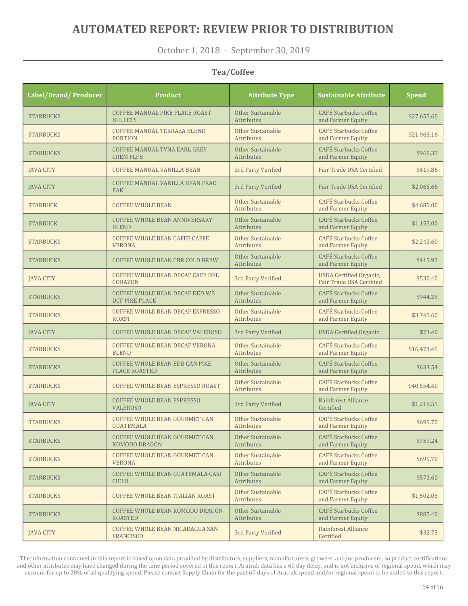October 1, 2018 - September 30, 2019

#### **Tea/Coffee**

| Label/Brand/ Producer | <b>Product</b>                                                | <b>Attribute Type</b>                  | <b>Sustainable Attribute</b>                               | <b>Spend</b> |
|-----------------------|---------------------------------------------------------------|----------------------------------------|------------------------------------------------------------|--------------|
| <b>STARBUCKS</b>      | <b>COFFEE MANUAL PIKE PLACE ROAST</b><br><b>BULLETS</b>       | Other Sustainable<br><b>Attributes</b> | <b>CAFÉ Starbucks Coffee</b><br>and Farmer Equity          | \$27,655.60  |
| <b>STARBUCKS</b>      | <b>COFFEE MANUAL TERRAZA BLEND</b><br><b>PORTION</b>          | Other Sustainable<br><b>Attributes</b> | <b>CAFÉ Starbucks Coffee</b><br>and Farmer Equity          | \$21,965.16  |
| <b>STARBUCKS</b>      | <b>COFFEE MANUAL TVNA EARL GREY</b><br><b>CREM FLFB</b>       | Other Sustainable<br>Attributes        | <b>CAFÉ Starbucks Coffee</b><br>and Farmer Equity          | \$968.32     |
| <b>JAVA CITY</b>      | <b>COFFEE MANUAL VANILLA BEAN</b>                             | 3rd Party Verified                     | Fair Trade USA Certified                                   | \$419.86     |
| <b>JAVA CITY</b>      | COFFEE MANUAL VANILLA BEAN FRAC<br><b>PAK</b>                 | 3rd Party Verified                     | Fair Trade USA Certified                                   | \$2,065.66   |
| <b>STARBUCK</b>       | <b>COFFEE WHOLE BEAN</b>                                      | Other Sustainable<br>Attributes        | <b>CAFÉ Starbucks Coffee</b><br>and Farmer Equity          | \$4,680.00   |
| <b>STARBUCK</b>       | <b>COFFEE WHOLE BEAN ANNIVERSARY</b><br><b>BLEND</b>          | Other Sustainable<br>Attributes        | <b>CAFÉ Starbucks Coffee</b><br>and Farmer Equity          | \$1,155.00   |
| <b>STARBUCKS</b>      | <b>COFFEE WHOLE BEAN CAFFE CAFFE</b><br><b>VERONA</b>         | Other Sustainable<br>Attributes        | <b>CAFÉ Starbucks Coffee</b><br>and Farmer Equity          | \$2,243.60   |
| <b>STARBUCKS</b>      | <b>COFFEE WHOLE BEAN CBR COLD BREW</b>                        | Other Sustainable<br>Attributes        | <b>CAFÉ Starbucks Coffee</b><br>and Farmer Equity          | \$415.92     |
| <b>JAVA CITY</b>      | <b>COFFEE WHOLE BEAN DECAF CAFE DEL</b><br>CORAZON            | 3rd Party Verified                     | <b>USDA</b> Certified Organic,<br>Fair Trade USA Certified | \$530.40     |
| <b>STARBUCKS</b>      | COFFEE WHOLE BEAN DECAF DED WB<br><b>DCF PIKE PLACE</b>       | Other Sustainable<br>Attributes        | <b>CAFÉ Starbucks Coffee</b><br>and Farmer Equity          | \$944.28     |
| <b>STARBUCKS</b>      | <b>COFFEE WHOLE BEAN DECAF ESPRESSO</b><br><b>ROAST</b>       | Other Sustainable<br>Attributes        | <b>CAFÉ Starbucks Coffee</b><br>and Farmer Equity          | \$3,745.60   |
| <b>JAVA CITY</b>      | COFFEE WHOLE BEAN DECAF VALEROSO                              | 3rd Party Verified                     | <b>USDA</b> Certified Organic                              | \$73.40      |
| <b>STARBUCKS</b>      | <b>COFFEE WHOLE BEAN DECAF VERONA</b><br><b>BLEND</b>         | Other Sustainable<br><b>Attributes</b> | <b>CAFÉ Starbucks Coffee</b><br>and Farmer Equity          | \$16,473.45  |
| <b>STARBUCKS</b>      | <b>COFFEE WHOLE BEAN EDB CAN PIKE</b><br><b>PLACE ROASTED</b> | Other Sustainable<br>Attributes        | <b>CAFÉ Starbucks Coffee</b><br>and Farmer Equity          | \$633.54     |
| <b>STARBUCKS</b>      | COFFEE WHOLE BEAN ESPRESSO ROAST                              | Other Sustainable<br>Attributes        | <b>CAFÉ Starbucks Coffee</b><br>and Farmer Equity          | \$40,554.40  |
| <b>JAVA CITY</b>      | <b>COFFEE WHOLE BEAN ESPRESSO</b><br><b>VALEROSO</b>          | 3rd Party Verified                     | Rainforest Alliance<br>Certified                           | \$1,218.55   |
| <b>STARBUCKS</b>      | <b>COFFEE WHOLE BEAN GOURMET CAN</b><br>GUATEMALA             | Other Sustainable<br>Attributes        | <b>CAFÉ Starbucks Coffee</b><br>and Farmer Equity          | \$695.70     |
| <b>STARBUCKS</b>      | <b>COFFEE WHOLE BEAN GOURMET CAN</b><br>KOMODO DRAGON         | Other Sustainable<br>Attributes        | <b>CAFÉ Starbucks Coffee</b><br>and Farmer Equity          | \$759.24     |
| <b>STARBUCKS</b>      | <b>COFFEE WHOLE BEAN GOURMET CAN</b><br><b>VERONA</b>         | Other Sustainable<br>Attributes        | <b>CAFÉ Starbucks Coffee</b><br>and Farmer Equity          | \$695.70     |
| <b>STARBUCKS</b>      | COFFEE WHOLE BEAN GUATEMALA CASI<br><b>CIELO</b>              | Other Sustainable<br>Attributes        | <b>CAFÉ Starbucks Coffee</b><br>and Farmer Equity          | \$573.60     |
| <b>STARBUCKS</b>      | COFFEE WHOLE BEAN ITALIAN ROAST                               | Other Sustainable<br>Attributes        | <b>CAFÉ Starbucks Coffee</b><br>and Farmer Equity          | \$1,502.05   |
| <b>STARBUCKS</b>      | COFFEE WHOLE BEAN KOMODO DRAGON<br><b>ROASTED</b>             | Other Sustainable<br>Attributes        | <b>CAFÉ Starbucks Coffee</b><br>and Farmer Equity          | \$885.40     |
| <b>JAVA CITY</b>      | COFFEE WHOLE BEAN NICARAGUA SAN<br><b>FRANCISCO</b>           | 3rd Party Verified                     | Rainforest Alliance<br>Certified                           | \$32.73      |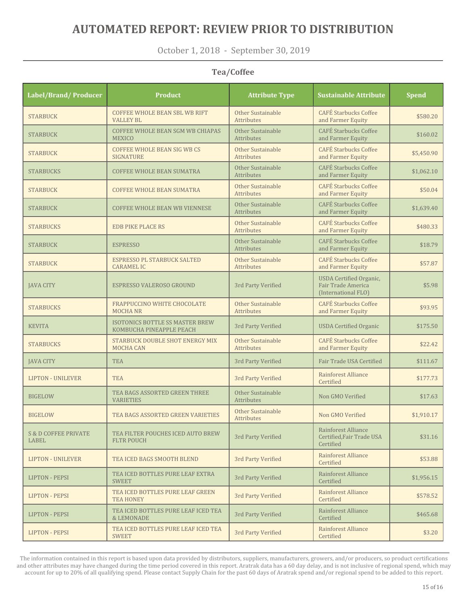October 1, 2018 - September 30, 2019

#### **Tea/Coffee**

| <b>Label/Brand/Producer</b>              | <b>Product</b>                                              | <b>Attribute Type</b>                  | <b>Sustainable Attribute</b>                                                | <b>Spend</b> |
|------------------------------------------|-------------------------------------------------------------|----------------------------------------|-----------------------------------------------------------------------------|--------------|
| <b>STARBUCK</b>                          | <b>COFFEE WHOLE BEAN SBL WB RIFT</b><br><b>VALLEY BL</b>    | Other Sustainable<br>Attributes        | <b>CAFÉ Starbucks Coffee</b><br>and Farmer Equity                           | \$580.20     |
| <b>STARBUCK</b>                          | COFFEE WHOLE BEAN SGM WB CHIAPAS<br><b>MEXICO</b>           | Other Sustainable<br>Attributes        | <b>CAFÉ Starbucks Coffee</b><br>and Farmer Equity                           | \$160.02     |
| <b>STARBUCK</b>                          | <b>COFFEE WHOLE BEAN SIG WB CS</b><br><b>SIGNATURE</b>      | Other Sustainable<br>Attributes        | <b>CAFÉ Starbucks Coffee</b><br>and Farmer Equity                           | \$5,450.90   |
| <b>STARBUCKS</b>                         | <b>COFFEE WHOLE BEAN SUMATRA</b>                            | Other Sustainable<br>Attributes        | <b>CAFÉ Starbucks Coffee</b><br>and Farmer Equity                           | \$1,062.10   |
| <b>STARBUCK</b>                          | <b>COFFEE WHOLE BEAN SUMATRA</b>                            | Other Sustainable<br>Attributes        | <b>CAFÉ Starbucks Coffee</b><br>and Farmer Equity                           | \$50.04      |
| <b>STARBUCK</b>                          | <b>COFFEE WHOLE BEAN WB VIENNESE</b>                        | Other Sustainable<br>Attributes        | <b>CAFÉ Starbucks Coffee</b><br>and Farmer Equity                           | \$1,639.40   |
| <b>STARBUCKS</b>                         | <b>EDB PIKE PLACE RS</b>                                    | Other Sustainable<br>Attributes        | <b>CAFÉ Starbucks Coffee</b><br>and Farmer Equity                           | \$480.33     |
| <b>STARBUCK</b>                          | <b>ESPRESSO</b>                                             | Other Sustainable<br>Attributes        | <b>CAFÉ Starbucks Coffee</b><br>and Farmer Equity                           | \$18.79      |
| <b>STARBUCK</b>                          | <b>ESPRESSO PL STARBUCK SALTED</b><br><b>CARAMELIC</b>      | Other Sustainable<br>Attributes        | <b>CAFÉ Starbucks Coffee</b><br>and Farmer Equity                           | \$57.87      |
| <b>IAVA CITY</b>                         | ESPRESSO VALEROSO GROUND                                    | 3rd Party Verified                     | <b>USDA</b> Certified Organic,<br>Fair Trade America<br>(International FLO) | \$5.98       |
| <b>STARBUCKS</b>                         | <b>FRAPPUCCINO WHITE CHOCOLATE</b><br><b>MOCHANR</b>        | Other Sustainable<br><b>Attributes</b> | <b>CAFÉ Starbucks Coffee</b><br>and Farmer Equity                           | \$93.95      |
| <b>KEVITA</b>                            | ISOTONICS BOTTLE SS MASTER BREW<br>KOMBUCHA PINEAPPLE PEACH | 3rd Party Verified                     | <b>USDA</b> Certified Organic                                               | \$175.50     |
| <b>STARBUCKS</b>                         | STARBUCK DOUBLE SHOT ENERGY MIX<br><b>MOCHA CAN</b>         | Other Sustainable<br><b>Attributes</b> | <b>CAFÉ Starbucks Coffee</b><br>and Farmer Equity                           | \$22.42      |
| <b>JAVA CITY</b>                         | <b>TEA</b>                                                  | 3rd Party Verified                     | Fair Trade USA Certified                                                    | \$111.67     |
| <b>LIPTON - UNILEVER</b>                 | <b>TEA</b>                                                  | 3rd Party Verified                     | Rainforest Alliance<br>Certified                                            | \$177.73     |
| <b>BIGELOW</b>                           | TEA BAGS ASSORTED GREEN THREE<br><b>VARIETIES</b>           | Other Sustainable<br>Attributes        | Non GMO Verified                                                            | \$17.63      |
| <b>BIGELOW</b>                           | TEA BAGS ASSORTED GREEN VARIETIES                           | Other Sustainable<br>Attributes        | Non GMO Verified                                                            | \$1,910.17   |
| <b>S &amp; D COFFEE PRIVATE</b><br>LABEL | TEA FILTER POUCHES ICED AUTO BREW<br><b>FLTR POUCH</b>      | 3rd Party Verified                     | Rainforest Alliance<br>Certified, Fair Trade USA<br>Certified               | \$31.16      |
| <b>LIPTON - UNILEVER</b>                 | TEA ICED BAGS SMOOTH BLEND                                  | 3rd Party Verified                     | Rainforest Alliance<br>Certified                                            | \$53.88      |
| <b>LIPTON - PEPSI</b>                    | TEA ICED BOTTLES PURE LEAF EXTRA<br><b>SWEET</b>            | 3rd Party Verified                     | Rainforest Alliance<br>Certified                                            | \$1,956.15   |
| <b>LIPTON - PEPSI</b>                    | TEA ICED BOTTLES PURE LEAF GREEN<br><b>TEA HONEY</b>        | 3rd Party Verified                     | Rainforest Alliance<br>Certified                                            | \$578.52     |
| <b>LIPTON - PEPSI</b>                    | TEA ICED BOTTLES PURE LEAF ICED TEA<br>& LEMONADE           | 3rd Party Verified                     | Rainforest Alliance<br>Certified                                            | \$465.68     |
| <b>LIPTON - PEPSI</b>                    | TEA ICED BOTTLES PURE LEAF ICED TEA<br><b>SWEET</b>         | 3rd Party Verified                     | Rainforest Alliance<br>Certified                                            | \$3.20       |